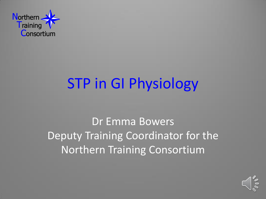

# **STP in GI Physiology**

Dr Emma Bowers Deputy Training Coordinator for the **Northern Training Consortium** 

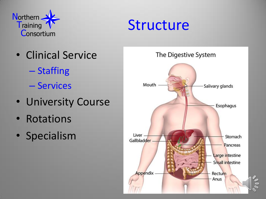



- · Clinical Service
	- Staffing
	- Services
- University Course
- Rotations
- · Specialism

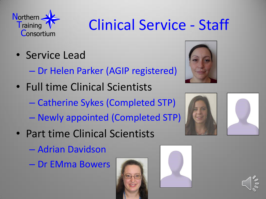

# Clinical Service - Staff

- Service Lead
	- Dr Helen Parker (AGIP registered)
- Full time Clinical Scientists
	- Catherine Sykes (Completed STP)
	- Newly appointed (Completed STP)
- Part time Clinical Scientists
	- Adrian Davidson
	- Dr EMma Bowers











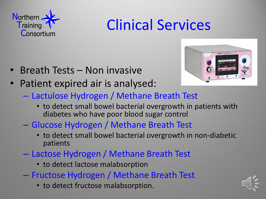

## Clinical Services

- Breath Tests Non invasive
- Patient expired air is analysed:



- Lactulose Hydrogen / Methane Breath Test
	- to detect small bowel bacterial overgrowth in patients with diabetes who have poor blood sugar control
- Glucose Hydrogen / Methane Breath Test
	- to detect small bowel bacterial overgrowth in non-diabetic patients
- Lactose Hydrogen / Methane Breath Test
	- to detect lactose malabsorption
- Fructose Hydrogen / Methane Breath Test
	- to detect fructose malabsorption.

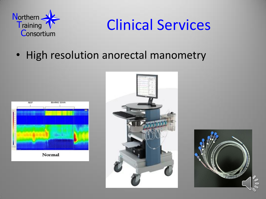

#### **Clinical Services**

• High resolution anorectal manometry





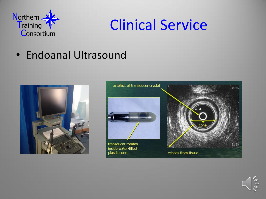

### **Clinical Service**

• Endoanal Ultrasound





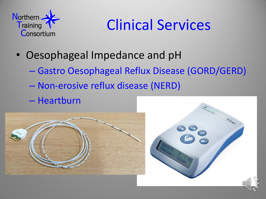

## Clinical Services

- Oesophageal Impedance and pH
	- Gastro Oesophageal Reflux Disease (GORD/GERD)
	- Non-erosive reflux disease (NERD)
	- Heartburn



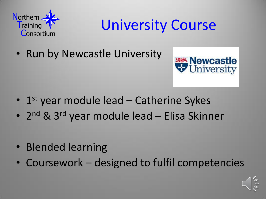

#### University Course

• Run by Newcastle University



- 1st year module lead Catherine Sykes
- 2<sup>nd</sup> & 3<sup>rd</sup> year module lead Elisa Skinner
- Blended learning
- Coursework designed to fulfil competencies

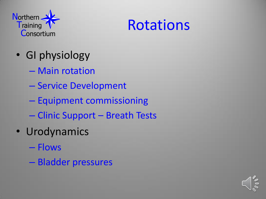

#### Rotations

- GI physiology
	- Main rotation
	- Service Development
	- Equipment commissioning
	- Clinic Support Breath Tests
- Urodynamics
	- Flows
	- Bladder pressures

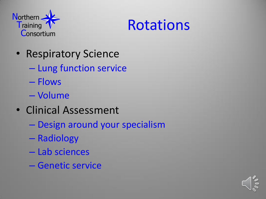



- Respiratory Science
	- Lung function service
	- Flows
	- Volume
- Clinical Assessment
	- Design around your specialism
	- Radiology
	- Lab sciences
	- Genetic service

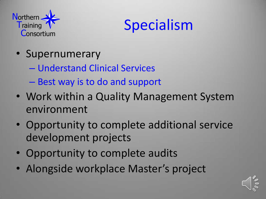



- Supernumerary
	- Understand Clinical Services
	- Best way is to do and support
- Work within a Quality Management System environment
- Opportunity to complete additional service development projects
- Opportunity to complete audits
- Alongside workplace Master's project